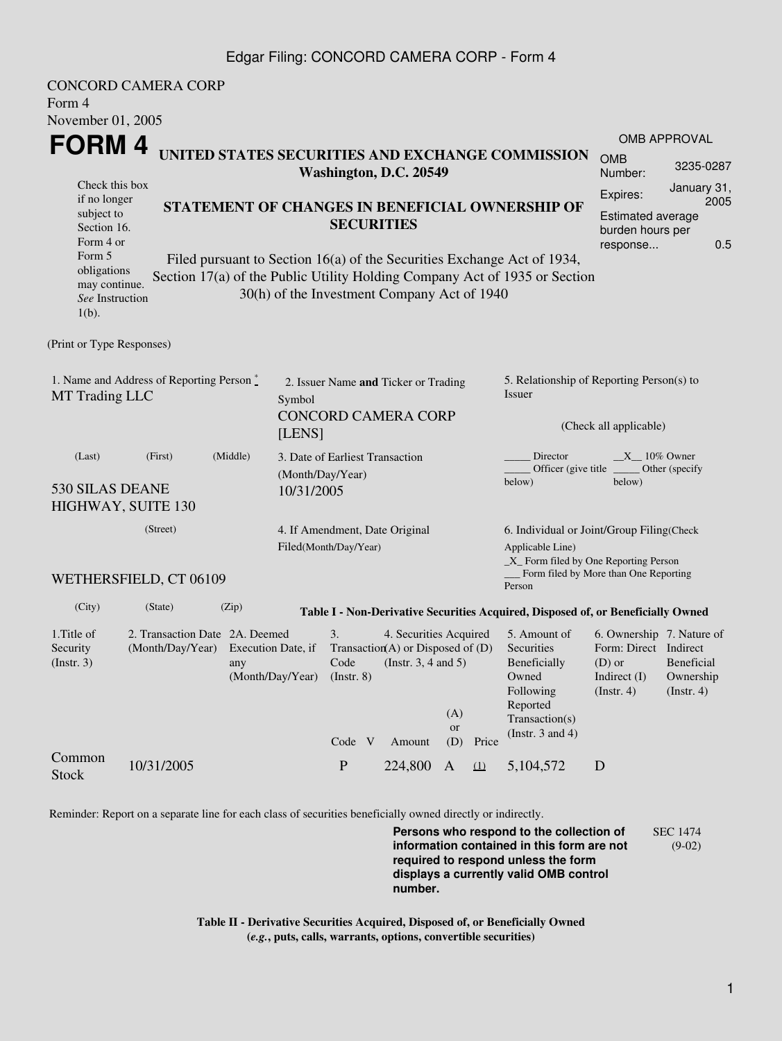#### Edgar Filing: CONCORD CAMERA CORP - Form 4

| Form 4<br>November 01, 2005                                                                                                 | <b>CONCORD CAMERA CORP</b>                                            |       |                                                                                        |                                 |  |                                                                                                          |                         |                                                                                                 |                                                                                                                                                       |                                                                                                         |                          |
|-----------------------------------------------------------------------------------------------------------------------------|-----------------------------------------------------------------------|-------|----------------------------------------------------------------------------------------|---------------------------------|--|----------------------------------------------------------------------------------------------------------|-------------------------|-------------------------------------------------------------------------------------------------|-------------------------------------------------------------------------------------------------------------------------------------------------------|---------------------------------------------------------------------------------------------------------|--------------------------|
|                                                                                                                             |                                                                       |       |                                                                                        |                                 |  |                                                                                                          |                         |                                                                                                 | <b>OMB APPROVAL</b>                                                                                                                                   |                                                                                                         |                          |
| FORM 4<br>UNITED STATES SECURITIES AND EXCHANGE COMMISSION<br>Washington, D.C. 20549                                        |                                                                       |       |                                                                                        |                                 |  |                                                                                                          | <b>OMB</b><br>Number:   | 3235-0287                                                                                       |                                                                                                                                                       |                                                                                                         |                          |
| Check this box<br>if no longer<br>STATEMENT OF CHANGES IN BENEFICIAL OWNERSHIP OF<br>subject to<br>Section 16.<br>Form 4 or |                                                                       |       |                                                                                        |                                 |  | <b>SECURITIES</b>                                                                                        |                         |                                                                                                 |                                                                                                                                                       | January 31,<br>Expires:<br>2005<br><b>Estimated average</b><br>burden hours per<br>0.5<br>response      |                          |
| Form 5<br>obligations<br>may continue.<br>See Instruction<br>$1(b)$ .                                                       |                                                                       |       |                                                                                        |                                 |  | 30(h) of the Investment Company Act of 1940                                                              |                         |                                                                                                 | Filed pursuant to Section 16(a) of the Securities Exchange Act of 1934,<br>Section 17(a) of the Public Utility Holding Company Act of 1935 or Section |                                                                                                         |                          |
| (Print or Type Responses)                                                                                                   |                                                                       |       |                                                                                        |                                 |  |                                                                                                          |                         |                                                                                                 |                                                                                                                                                       |                                                                                                         |                          |
| 1. Name and Address of Reporting Person $\stackrel{*}{\mathbb{L}}$<br>MT Trading LLC                                        |                                                                       |       | 2. Issuer Name and Ticker or Trading<br>Symbol<br><b>CONCORD CAMERA CORP</b><br>[LENS] |                                 |  |                                                                                                          |                         | 5. Relationship of Reporting Person(s) to<br>Issuer<br>(Check all applicable)                   |                                                                                                                                                       |                                                                                                         |                          |
| (Middle)<br>(Last)<br>(First)<br>530 SILAS DEANE<br>HIGHWAY, SUITE 130                                                      |                                                                       |       | 3. Date of Earliest Transaction<br>(Month/Day/Year)<br>10/31/2005                      |                                 |  |                                                                                                          |                         | Director<br>$X_{10\%}$ Owner<br>Officer (give title ________ Other (specify<br>below)<br>below) |                                                                                                                                                       |                                                                                                         |                          |
|                                                                                                                             | (Street)<br>4. If Amendment, Date Original<br>Filed(Month/Day/Year)   |       |                                                                                        |                                 |  | 6. Individual or Joint/Group Filing(Check<br>Applicable Line)<br>_X_ Form filed by One Reporting Person  |                         |                                                                                                 |                                                                                                                                                       |                                                                                                         |                          |
|                                                                                                                             | WETHERSFIELD, CT 06109                                                |       |                                                                                        |                                 |  |                                                                                                          |                         |                                                                                                 | Form filed by More than One Reporting<br>Person                                                                                                       |                                                                                                         |                          |
| (City)                                                                                                                      | (State)                                                               | (Zip) |                                                                                        |                                 |  |                                                                                                          |                         |                                                                                                 | Table I - Non-Derivative Securities Acquired, Disposed of, or Beneficially Owned                                                                      |                                                                                                         |                          |
| 1. Title of<br>Security<br>$($ Instr. 3 $)$                                                                                 | 2. Transaction Date 2A. Deemed<br>(Month/Day/Year) Execution Date, if | any   | (Month/Day/Year)                                                                       | 3.<br>$($ Instr. $8)$<br>Code V |  | 4. Securities Acquired<br>Transaction(A) or Disposed of $(D)$<br>Code (Instr. $3, 4$ and $5$ )<br>Amount | (A)<br><b>or</b><br>(D) | Price                                                                                           | 5. Amount of<br>Securities<br>Beneficially<br>Owned<br>Following<br>Reported<br>Transaction(s)<br>(Instr. $3$ and $4$ )                               | 6. Ownership 7. Nature of<br>Form: Direct Indirect<br>(D) or Beneficial<br>Indirect $(I)$<br>(Instr. 4) | Ownership<br>(Insert. 4) |
| Common<br><b>Stock</b>                                                                                                      | 10/31/2005                                                            |       |                                                                                        | $\mathbf{P}$                    |  | 224,800                                                                                                  | A                       | $\Omega$                                                                                        | 5,104,572                                                                                                                                             | D                                                                                                       |                          |

Reminder: Report on a separate line for each class of securities beneficially owned directly or indirectly.

**Persons who respond to the collection of information contained in this form are not required to respond unless the form displays a currently valid OMB control number.** SEC 1474 (9-02)

**Table II - Derivative Securities Acquired, Disposed of, or Beneficially Owned (***e.g.***, puts, calls, warrants, options, convertible securities)**